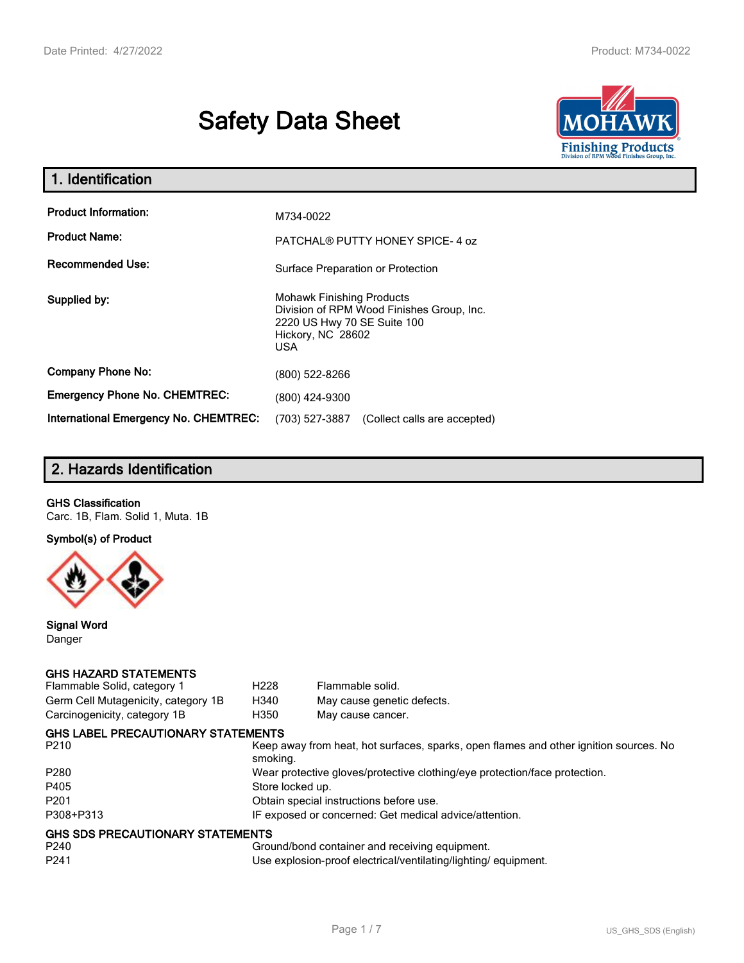# **Safety Data Sheet**



| 1. Identification                                   |                                                                                                                                          |
|-----------------------------------------------------|------------------------------------------------------------------------------------------------------------------------------------------|
| <b>Product Information:</b><br><b>Product Name:</b> | M734-0022                                                                                                                                |
| <b>Recommended Use:</b>                             | PATCHAL® PUTTY HONEY SPICE-4 oz<br>Surface Preparation or Protection                                                                     |
| Supplied by:                                        | <b>Mohawk Finishing Products</b><br>Division of RPM Wood Finishes Group, Inc.<br>2220 US Hwy 70 SE Suite 100<br>Hickory, NC 28602<br>USA |
| <b>Company Phone No:</b>                            | (800) 522-8266                                                                                                                           |
| <b>Emergency Phone No. CHEMTREC:</b>                | (800) 424-9300                                                                                                                           |
| <b>International Emergency No. CHEMTREC:</b>        | (703) 527-3887<br>(Collect calls are accepted)                                                                                           |

# **2. Hazards Identification**

#### **GHS Classification**

Carc. 1B, Flam. Solid 1, Muta. 1B

**Symbol(s) of Product**



**Signal Word** Danger

#### **GHS HAZARD STATEMENTS**

| Flammable Solid, category 1         | H <sub>228</sub>                                                           | Flammable solid.                                                                      |  |
|-------------------------------------|----------------------------------------------------------------------------|---------------------------------------------------------------------------------------|--|
| Germ Cell Mutagenicity, category 1B | H340                                                                       | May cause genetic defects.                                                            |  |
| Carcinogenicity, category 1B        | H350                                                                       | May cause cancer.                                                                     |  |
| GHS LABEL PRECAUTIONARY STATEMENTS  |                                                                            |                                                                                       |  |
| P210                                | smoking.                                                                   | Keep away from heat, hot surfaces, sparks, open flames and other ignition sources. No |  |
| P280                                | Wear protective gloves/protective clothing/eye protection/face protection. |                                                                                       |  |
| P405                                | Store locked up.                                                           |                                                                                       |  |
| P201                                | Obtain special instructions before use.                                    |                                                                                       |  |
| P308+P313                           |                                                                            | IF exposed or concerned: Get medical advice/attention.                                |  |
| GHS SDS PRECAUTIONARY STATEMENTS    |                                                                            |                                                                                       |  |
| P240                                |                                                                            | Ground/bond container and receiving equipment.                                        |  |
| P241                                |                                                                            | Use explosion-proof electrical/ventilating/lighting/equipment.                        |  |
|                                     |                                                                            |                                                                                       |  |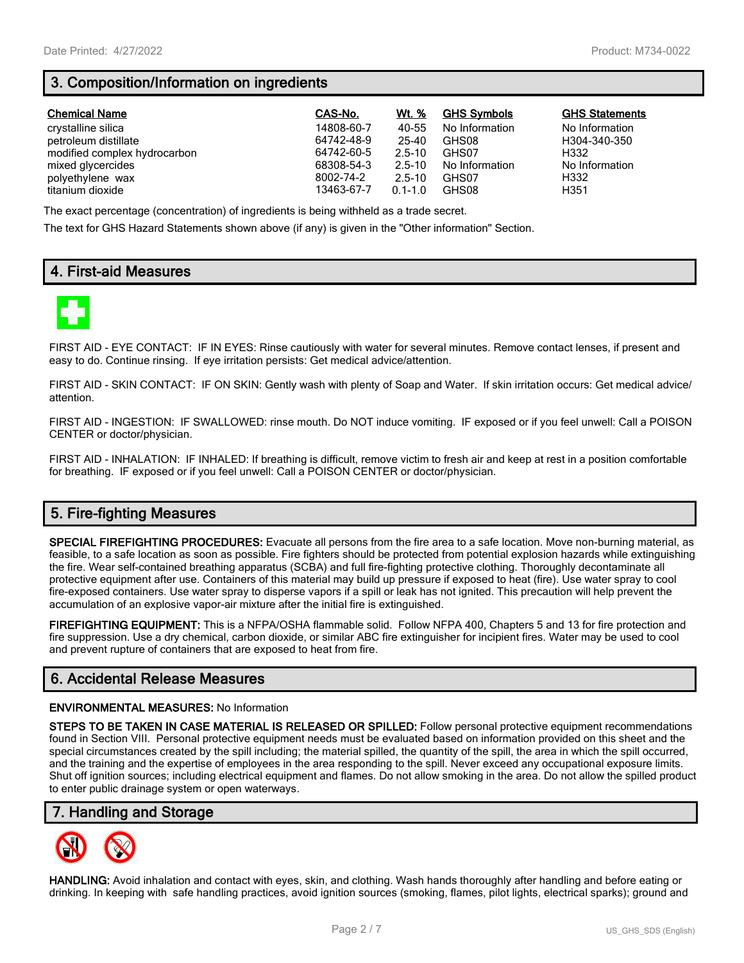# **3. Composition/Information on ingredients**

| <b>Chemical Name</b>         | CAS-No.    | Wt. %       | <b>GHS Symbols</b> | <b>GHS Statements</b> |
|------------------------------|------------|-------------|--------------------|-----------------------|
| crystalline silica           | 14808-60-7 | 40-55       | No Information     | No Information        |
| petroleum distillate         | 64742-48-9 | 25-40       | GHS08              | H304-340-350          |
| modified complex hydrocarbon | 64742-60-5 | $2.5 - 10$  | GHS07              | H332                  |
| mixed glycercides            | 68308-54-3 | $2.5 - 10$  | No Information     | No Information        |
| polyethylene wax             | 8002-74-2  | $2.5 - 10$  | GHS07              | H332                  |
| titanium dioxide             | 13463-67-7 | $0.1 - 1.0$ | GHS08              | H351                  |

The exact percentage (concentration) of ingredients is being withheld as a trade secret.

The text for GHS Hazard Statements shown above (if any) is given in the "Other information" Section.

# **4. First-aid Measures**



FIRST AID - EYE CONTACT: IF IN EYES: Rinse cautiously with water for several minutes. Remove contact lenses, if present and easy to do. Continue rinsing. If eye irritation persists: Get medical advice/attention.

FIRST AID - SKIN CONTACT: IF ON SKIN: Gently wash with plenty of Soap and Water. If skin irritation occurs: Get medical advice/ attention.

FIRST AID - INGESTION: IF SWALLOWED: rinse mouth. Do NOT induce vomiting. IF exposed or if you feel unwell: Call a POISON CENTER or doctor/physician.

FIRST AID - INHALATION: IF INHALED: If breathing is difficult, remove victim to fresh air and keep at rest in a position comfortable for breathing. IF exposed or if you feel unwell: Call a POISON CENTER or doctor/physician.

# **5. Fire-fighting Measures**

**SPECIAL FIREFIGHTING PROCEDURES:** Evacuate all persons from the fire area to a safe location. Move non-burning material, as feasible, to a safe location as soon as possible. Fire fighters should be protected from potential explosion hazards while extinguishing the fire. Wear self-contained breathing apparatus (SCBA) and full fire-fighting protective clothing. Thoroughly decontaminate all protective equipment after use. Containers of this material may build up pressure if exposed to heat (fire). Use water spray to cool fire-exposed containers. Use water spray to disperse vapors if a spill or leak has not ignited. This precaution will help prevent the accumulation of an explosive vapor-air mixture after the initial fire is extinguished.

**FIREFIGHTING EQUIPMENT:** This is a NFPA/OSHA flammable solid. Follow NFPA 400, Chapters 5 and 13 for fire protection and fire suppression. Use a dry chemical, carbon dioxide, or similar ABC fire extinguisher for incipient fires. Water may be used to cool and prevent rupture of containers that are exposed to heat from fire.

# **6. Accidental Release Measures**

#### **ENVIRONMENTAL MEASURES:** No Information

**STEPS TO BE TAKEN IN CASE MATERIAL IS RELEASED OR SPILLED:** Follow personal protective equipment recommendations found in Section VIII. Personal protective equipment needs must be evaluated based on information provided on this sheet and the special circumstances created by the spill including; the material spilled, the quantity of the spill, the area in which the spill occurred, and the training and the expertise of employees in the area responding to the spill. Never exceed any occupational exposure limits. Shut off ignition sources; including electrical equipment and flames. Do not allow smoking in the area. Do not allow the spilled product to enter public drainage system or open waterways.

## **7. Handling and Storage**



**HANDLING:** Avoid inhalation and contact with eyes, skin, and clothing. Wash hands thoroughly after handling and before eating or drinking. In keeping with safe handling practices, avoid ignition sources (smoking, flames, pilot lights, electrical sparks); ground and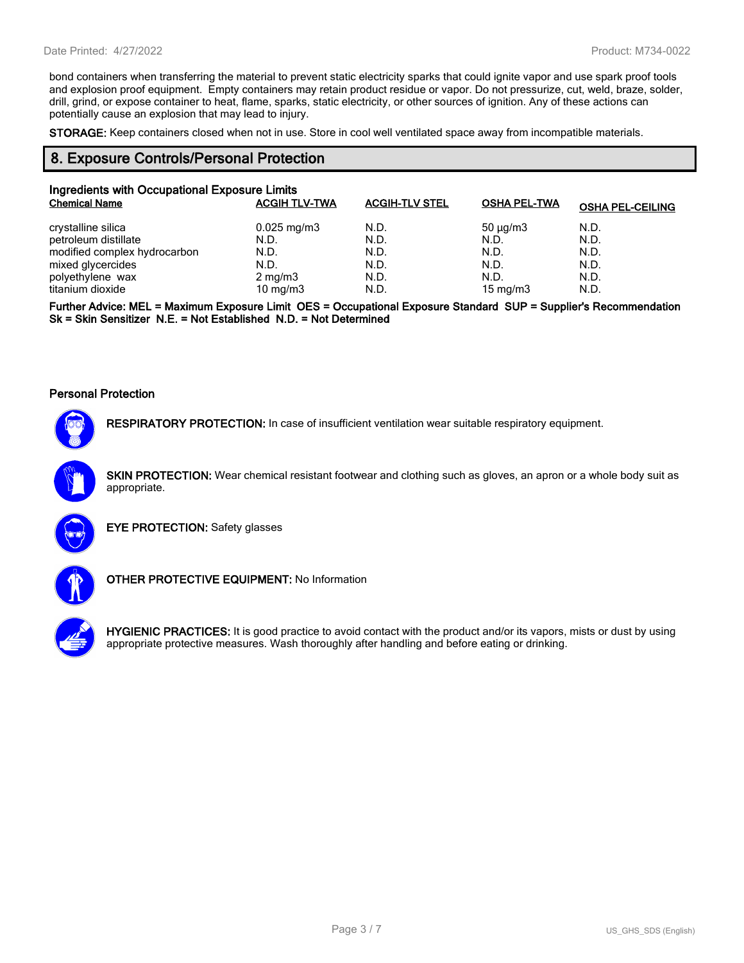bond containers when transferring the material to prevent static electricity sparks that could ignite vapor and use spark proof tools and explosion proof equipment. Empty containers may retain product residue or vapor. Do not pressurize, cut, weld, braze, solder, drill, grind, or expose container to heat, flame, sparks, static electricity, or other sources of ignition. Any of these actions can potentially cause an explosion that may lead to injury.

**STORAGE:** Keep containers closed when not in use. Store in cool well ventilated space away from incompatible materials.

#### **8. Exposure Controls/Personal Protection**

| Ingredients with Occupational Exposure Limits |                         |                       |                     |                         |
|-----------------------------------------------|-------------------------|-----------------------|---------------------|-------------------------|
| <b>Chemical Name</b>                          | <b>ACGIH TLV-TWA</b>    | <b>ACGIH-TLV STEL</b> | <b>OSHA PEL-TWA</b> | <b>OSHA PEL-CEILING</b> |
| crystalline silica                            | $0.025 \,\mathrm{mg/m}$ | N.D.                  | $50 \mu q/m3$       | N.D.                    |
| petroleum distillate                          | N.D.                    | N.D.                  | N.D.                | N.D.                    |
| modified complex hydrocarbon                  | N.D.                    | N.D.                  | N.D.                | N.D.                    |
| mixed glycercides                             | N.D.                    | N.D.                  | N.D.                | N.D.                    |
| polyethylene wax                              | $2 \text{ mg/m}$ 3      | N.D.                  | N.D.                | N.D.                    |
| titanium dioxide                              | 10 mg/m $3$             | N.D.                  | 15 mg/m $3$         | N.D.                    |

**Further Advice: MEL = Maximum Exposure Limit OES = Occupational Exposure Standard SUP = Supplier's Recommendation Sk = Skin Sensitizer N.E. = Not Established N.D. = Not Determined**

#### **Personal Protection**



**RESPIRATORY PROTECTION:** In case of insufficient ventilation wear suitable respiratory equipment.

**SKIN PROTECTION:** Wear chemical resistant footwear and clothing such as gloves, an apron or a whole body suit as appropriate.



**EYE PROTECTION:** Safety glasses



**OTHER PROTECTIVE EQUIPMENT:** No Information



**HYGIENIC PRACTICES:** It is good practice to avoid contact with the product and/or its vapors, mists or dust by using appropriate protective measures. Wash thoroughly after handling and before eating or drinking.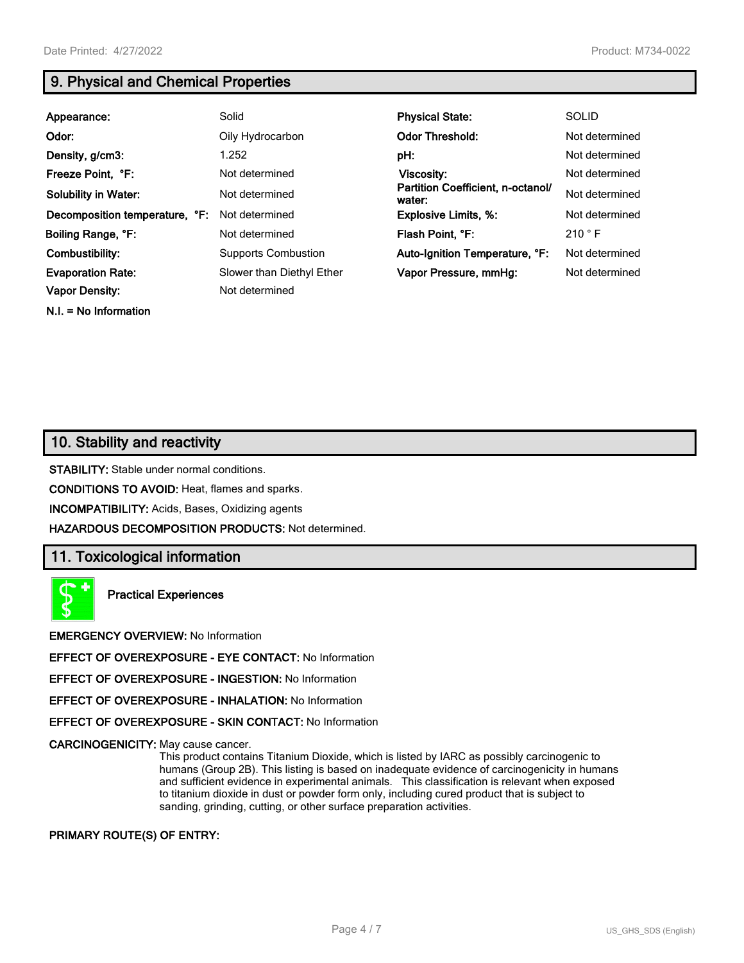**N.I. = No Information**

# **9. Physical and Chemical Properties**

| Appearance:                    | Solid                      | <b>Physical State:</b>                      | <b>SOLID</b>   |
|--------------------------------|----------------------------|---------------------------------------------|----------------|
| Odor:                          | Oily Hydrocarbon           | <b>Odor Threshold:</b>                      | Not determined |
| Density, g/cm3:                | 1.252                      | pH:                                         | Not determined |
| Freeze Point, °F:              | Not determined             | <b>Viscosity:</b>                           | Not determined |
| <b>Solubility in Water:</b>    | Not determined             | Partition Coefficient, n-octanol/<br>water: | Not determined |
| Decomposition temperature, °F: | Not determined             | <b>Explosive Limits, %:</b>                 | Not determined |
| Boiling Range, °F:             | Not determined             | Flash Point, °F:                            | 210 °F         |
| Combustibility:                | <b>Supports Combustion</b> | Auto-Ignition Temperature, °F:              | Not determined |
| <b>Evaporation Rate:</b>       | Slower than Diethyl Ether  | Vapor Pressure, mmHq:                       | Not determined |
| <b>Vapor Density:</b>          | Not determined             |                                             |                |

# **10. Stability and reactivity**

**STABILITY:** Stable under normal conditions.

**CONDITIONS TO AVOID:** Heat, flames and sparks.

**INCOMPATIBILITY:** Acids, Bases, Oxidizing agents

**HAZARDOUS DECOMPOSITION PRODUCTS:** Not determined.

## **11. Toxicological information**

**Practical Experiences**

**EMERGENCY OVERVIEW:** No Information

**EFFECT OF OVEREXPOSURE - EYE CONTACT:** No Information

**EFFECT OF OVEREXPOSURE - INGESTION:** No Information

**EFFECT OF OVEREXPOSURE - INHALATION:** No Information

**EFFECT OF OVEREXPOSURE - SKIN CONTACT:** No Information

**CARCINOGENICITY:** May cause cancer.

This product contains Titanium Dioxide, which is listed by IARC as possibly carcinogenic to humans (Group 2B). This listing is based on inadequate evidence of carcinogenicity in humans and sufficient evidence in experimental animals. This classification is relevant when exposed to titanium dioxide in dust or powder form only, including cured product that is subject to sanding, grinding, cutting, or other surface preparation activities.

#### **PRIMARY ROUTE(S) OF ENTRY:**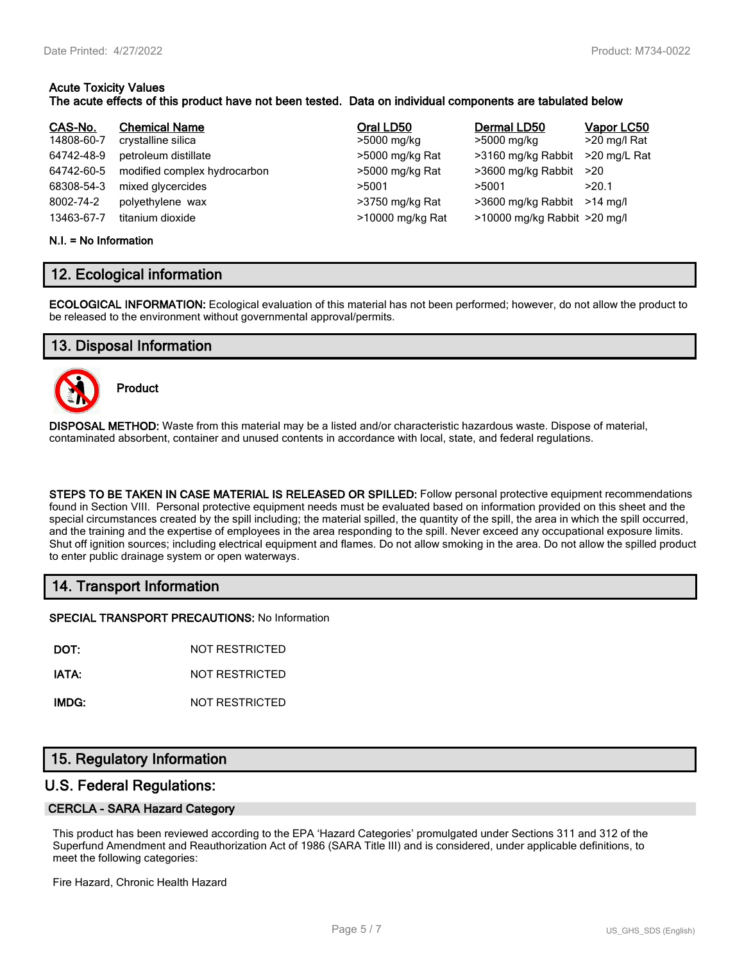# **Acute Toxicity Values**

#### **The acute effects of this product have not been tested. Data on individual components are tabulated below**

| CAS-No.    | <b>Chemical Name</b>         | Oral LD50        | Dermal LD50                  | Vapor LC50   |
|------------|------------------------------|------------------|------------------------------|--------------|
| 14808-60-7 | crystalline silica           | >5000 mg/kg      | >5000 mg/kg                  | >20 mg/l Rat |
| 64742-48-9 | petroleum distillate         | >5000 mg/kg Rat  | >3160 mg/kg Rabbit           | >20 mg/L Rat |
| 64742-60-5 | modified complex hydrocarbon | >5000 mg/kg Rat  | >3600 mg/kg Rabbit           | >20          |
| 68308-54-3 | mixed glycercides            | >5001            | >5001                        | >20.1        |
| 8002-74-2  | polyethylene wax             | >3750 mg/kg Rat  | >3600 mg/kg Rabbit           | $>14$ ma/l   |
| 13463-67-7 | titanium dioxide             | >10000 mg/kg Rat | >10000 mg/kg Rabbit >20 mg/l |              |

#### **N.I. = No Information**

# **12. Ecological information**

**ECOLOGICAL INFORMATION:** Ecological evaluation of this material has not been performed; however, do not allow the product to be released to the environment without governmental approval/permits.

# **13. Disposal Information**



**Product**

**DISPOSAL METHOD:** Waste from this material may be a listed and/or characteristic hazardous waste. Dispose of material, contaminated absorbent, container and unused contents in accordance with local, state, and federal regulations.

**STEPS TO BE TAKEN IN CASE MATERIAL IS RELEASED OR SPILLED:** Follow personal protective equipment recommendations found in Section VIII. Personal protective equipment needs must be evaluated based on information provided on this sheet and the special circumstances created by the spill including; the material spilled, the quantity of the spill, the area in which the spill occurred, and the training and the expertise of employees in the area responding to the spill. Never exceed any occupational exposure limits. Shut off ignition sources; including electrical equipment and flames. Do not allow smoking in the area. Do not allow the spilled product to enter public drainage system or open waterways.

# **14. Transport Information**

**SPECIAL TRANSPORT PRECAUTIONS:** No Information

**DOT:** NOT RESTRICTED

**IATA:** NOT RESTRICTED

**IMDG:** NOT RESTRICTED

# **15. Regulatory Information**

## **U.S. Federal Regulations:**

#### **CERCLA - SARA Hazard Category**

This product has been reviewed according to the EPA 'Hazard Categories' promulgated under Sections 311 and 312 of the Superfund Amendment and Reauthorization Act of 1986 (SARA Title III) and is considered, under applicable definitions, to meet the following categories:

Fire Hazard, Chronic Health Hazard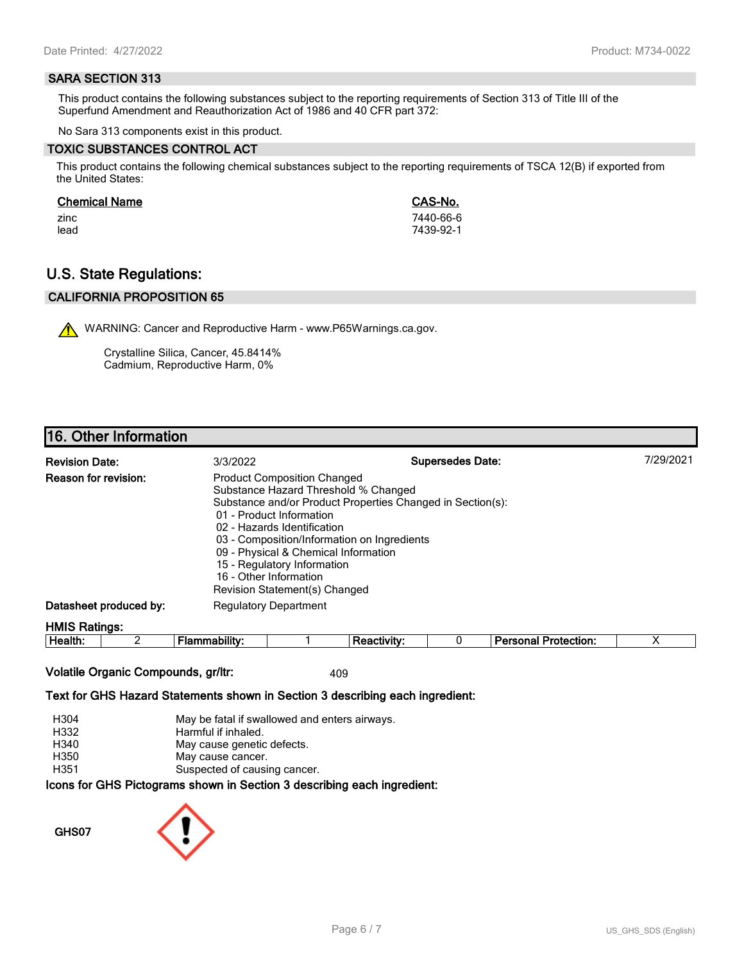#### **SARA SECTION 313**

This product contains the following substances subject to the reporting requirements of Section 313 of Title III of the Superfund Amendment and Reauthorization Act of 1986 and 40 CFR part 372:

No Sara 313 components exist in this product.

#### **TOXIC SUBSTANCES CONTROL ACT**

This product contains the following chemical substances subject to the reporting requirements of TSCA 12(B) if exported from the United States:

#### **Chemical Name CAS-No.**

zinc 7440-66-6 lead 7439-92-1

# **U.S. State Regulations:**

## **CALIFORNIA PROPOSITION 65**

WARNING: Cancer and Reproductive Harm - www.P65Warnings.ca.gov.

Crystalline Silica, Cancer, 45.8414% Cadmium, Reproductive Harm, 0%

# **16. Other Information**

| <b>Revision Date:</b>       | 3/3/2022                                                                                                                                                                                                                                                                                                               | <b>Supersedes Date:</b>                                    | 7/29/2021 |
|-----------------------------|------------------------------------------------------------------------------------------------------------------------------------------------------------------------------------------------------------------------------------------------------------------------------------------------------------------------|------------------------------------------------------------|-----------|
| <b>Reason for revision:</b> | <b>Product Composition Changed</b><br>Substance Hazard Threshold % Changed<br>01 - Product Information<br>02 - Hazards Identification<br>03 - Composition/Information on Ingredients<br>09 - Physical & Chemical Information<br>15 - Regulatory Information<br>16 - Other Information<br>Revision Statement(s) Changed | Substance and/or Product Properties Changed in Section(s): |           |
| Datasheet produced by:      | <b>Regulatory Department</b>                                                                                                                                                                                                                                                                                           |                                                            |           |
| <b>HMIS Ratings:</b>        |                                                                                                                                                                                                                                                                                                                        |                                                            |           |

| . .<br>-<br>ле<br><br>.<br> |  |  | - --<br>$ -$<br>.<br>лил |  |
|-----------------------------|--|--|--------------------------|--|
|                             |  |  |                          |  |

#### **Volatile Organic Compounds, gr/ltr:** 409

#### **Text for GHS Hazard Statements shown in Section 3 describing each ingredient:**

| H304 | May be fatal if swallowed and enters airways.                   |
|------|-----------------------------------------------------------------|
| H332 | Harmful if inhaled.                                             |
| H340 | May cause genetic defects.                                      |
| H350 | May cause cancer.                                               |
| H351 | Suspected of causing cancer.                                    |
|      | cons for CHS Dictograms shown in Section 3 describing each ingr |

ams snown in Section 3 describing each ingredient<mark>:</mark>

**GHS07**